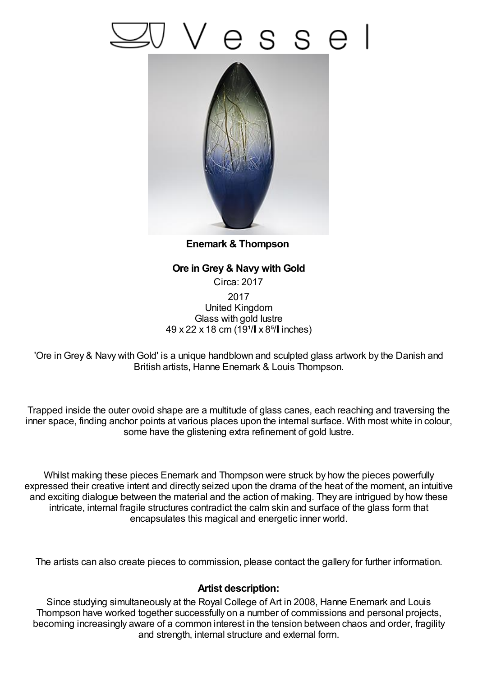## esse



**Enemark & Thompson**

**Ore in Grey & Navy with Gold** Circa: 2017 2017 United Kingdom Glass with gold lustre 49 x 22 x 18 cm (19<sup>1</sup>/ x 8<sup>5</sup>/ inches)

'Ore in Grey & Navy with Gold' is a unique handblown and sculpted glass artwork by the Danish and British artists, Hanne Enemark & Louis Thompson.

Trapped inside the outer ovoid shape are a multitude of glass canes, each reaching and traversing the inner space, finding anchor points at various places upon the internal surface. With most white in colour, some have the glistening extra refinement of gold lustre.

Whilst making these pieces Enemark and Thompson were struck by how the pieces powerfully expressed their creative intent and directly seized upon the drama of the heat of the moment, an intuitive and exciting dialogue between the material and the action of making. They are intrigued by how these intricate, internal fragile structures contradict the calm skin and surface of the glass form that encapsulates this magical and energetic inner world.

The artists can also create pieces to commission, please contact the gallery for further information.

## **Artist description:**

Since studying simultaneously at the Royal College of Art in 2008, Hanne Enemark and Louis Thompson have worked together successfully on a number of commissions and personal projects, becoming increasingly aware of a common interest in the tension between chaos and order, fragility and strength, internal structure and external form.